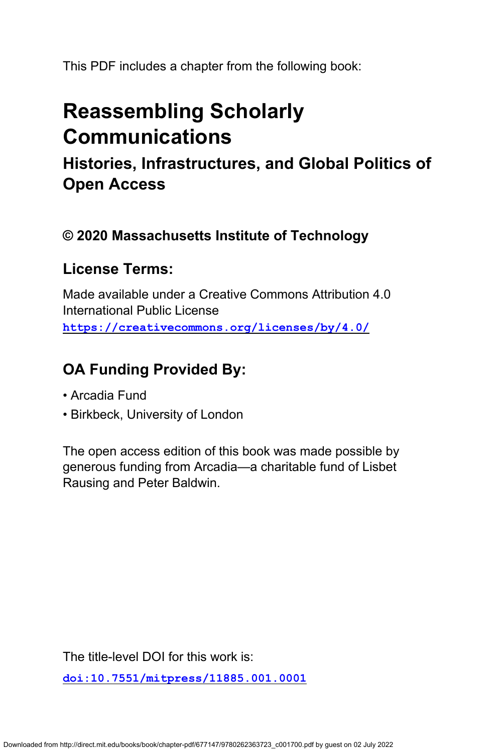This PDF includes a chapter from the following book:

# **Reassembling Scholarly Communications**

**Histories, Infrastructures, and Global Politics of Open Access**

### **© 2020 Massachusetts Institute of Technology**

### **License Terms:**

Made available under a Creative Commons Attribution 4.0 International Public License **<https://creativecommons.org/licenses/by/4.0/>**

# **OA Funding Provided By:**

- Arcadia Fund
- Birkbeck, University of London

The open access edition of this book was made possible by generous funding from Arcadia—a charitable fund of Lisbet Rausing and Peter Baldwin.

The title-level DOI for this work is:

**[doi:10.7551/mitpress/11885.001.0001](https://doi.org/10.7551/mitpress/11885.001.0001)**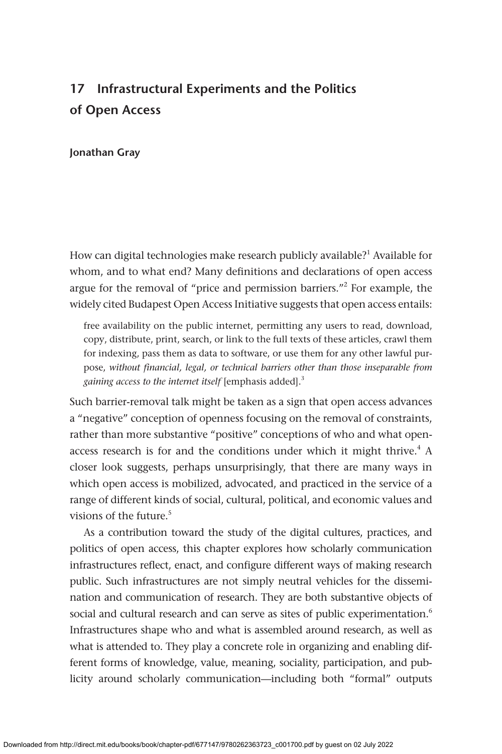## **17 Infrastructural Experiments and the Politics of Open Access**

### **Jonathan Gray**

How can digital technologies make research publicly available?<sup>1</sup> Available for whom, and to what end? Many definitions and declarations of open access argue for the removal of "price and permission barriers."2 For example, the widely cited Budapest Open Access Initiative suggests that open access entails:

free availability on the public internet, permitting any users to read, download, copy, distribute, print, search, or link to the full texts of these articles, crawl them for indexing, pass them as data to software, or use them for any other lawful purpose, *without financial, legal, or technical barriers other than those inseparable from gaining access to the internet itself* [emphasis added].<sup>3</sup>

Such barrier-removal talk might be taken as a sign that open access advances a "negative" conception of openness focusing on the removal of constraints, rather than more substantive "positive" conceptions of who and what openaccess research is for and the conditions under which it might thrive.<sup>4</sup> A closer look suggests, perhaps unsurprisingly, that there are many ways in which open access is mobilized, advocated, and practiced in the service of a range of different kinds of social, cultural, political, and economic values and visions of the future  $5$ 

As a contribution toward the study of the digital cultures, practices, and politics of open access, this chapter explores how scholarly communication infrastructures reflect, enact, and configure different ways of making research public. Such infrastructures are not simply neutral vehicles for the dissemination and communication of research. They are both substantive objects of social and cultural research and can serve as sites of public experimentation.<sup>6</sup> Infrastructures shape who and what is assembled around research, as well as what is attended to. They play a concrete role in organizing and enabling different forms of knowledge, value, meaning, sociality, participation, and publicity around scholarly communication—including both "formal" outputs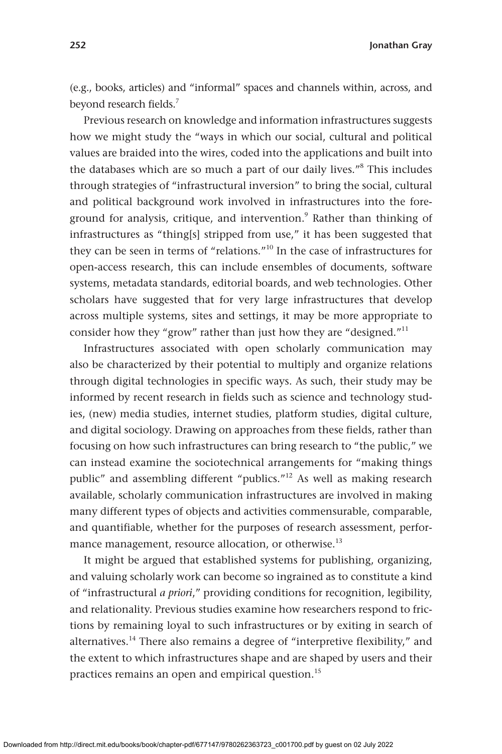**252 Jonathan Gray**

(e.g., books, articles) and "informal" spaces and channels within, across, and beyond research fields.<sup>7</sup>

Previous research on knowledge and information infrastructures suggests how we might study the "ways in which our social, cultural and political values are braided into the wires, coded into the applications and built into the databases which are so much a part of our daily lives."<sup>8</sup> This includes through strategies of "infrastructural inversion" to bring the social, cultural and political background work involved in infrastructures into the foreground for analysis, critique, and intervention.<sup>9</sup> Rather than thinking of infrastructures as "thing[s] stripped from use," it has been suggested that they can be seen in terms of "relations."10 In the case of infrastructures for open-access research, this can include ensembles of documents, software systems, metadata standards, editorial boards, and web technologies. Other scholars have suggested that for very large infrastructures that develop across multiple systems, sites and settings, it may be more appropriate to consider how they "grow" rather than just how they are "designed."<sup>11</sup>

Infrastructures associated with open scholarly communication may also be characterized by their potential to multiply and organize relations through digital technologies in specific ways. As such, their study may be informed by recent research in fields such as science and technology studies, (new) media studies, internet studies, platform studies, digital culture, and digital sociology. Drawing on approaches from these fields, rather than focusing on how such infrastructures can bring research to "the public," we can instead examine the sociotechnical arrangements for "making things public" and assembling different "publics."12 As well as making research available, scholarly communication infrastructures are involved in making many different types of objects and activities commensurable, comparable, and quantifiable, whether for the purposes of research assessment, performance management, resource allocation, or otherwise. $^{13}$ 

It might be argued that established systems for publishing, organizing, and valuing scholarly work can become so ingrained as to constitute a kind of "infrastructural *a priori*," providing conditions for recognition, legibility, and relationality. Previous studies examine how researchers respond to frictions by remaining loyal to such infrastructures or by exiting in search of alternatives.<sup>14</sup> There also remains a degree of "interpretive flexibility," and the extent to which infrastructures shape and are shaped by users and their practices remains an open and empirical question.<sup>15</sup>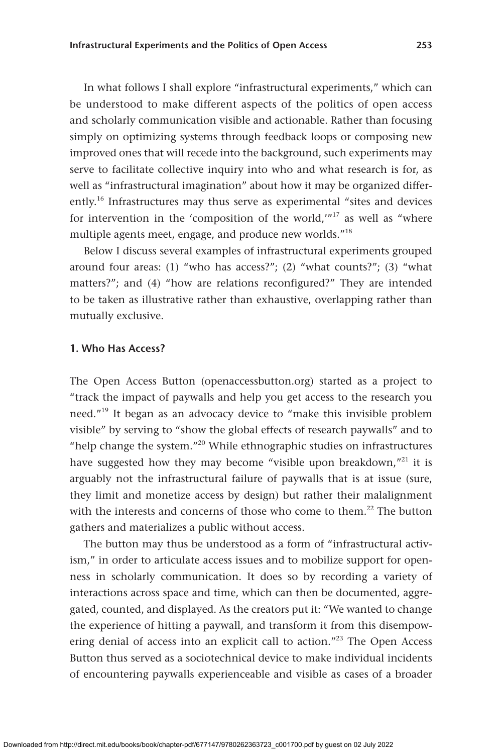In what follows I shall explore "infrastructural experiments," which can be understood to make different aspects of the politics of open access and scholarly communication visible and actionable. Rather than focusing simply on optimizing systems through feedback loops or composing new improved ones that will recede into the background, such experiments may serve to facilitate collective inquiry into who and what research is for, as well as "infrastructural imagination" about how it may be organized differently.<sup>16</sup> Infrastructures may thus serve as experimental "sites and devices for intervention in the 'composition of the world,'"17 as well as "where multiple agents meet, engage, and produce new worlds."<sup>18</sup>

Below I discuss several examples of infrastructural experiments grouped around four areas: (1) "who has access?"; (2) "what counts?"; (3) "what matters?"; and (4) "how are relations reconfigured?" They are intended to be taken as illustrative rather than exhaustive, overlapping rather than mutually exclusive.

### **1. Who Has Access?**

The Open Access Button (openaccessbutton.org) started as a project to "track the impact of paywalls and help you get access to the research you need."19 It began as an advocacy device to "make this invisible problem visible" by serving to "show the global effects of research paywalls" and to "help change the system."<sup>20</sup> While ethnographic studies on infrastructures have suggested how they may become "visible upon breakdown,"<sup>21</sup> it is arguably not the infrastructural failure of paywalls that is at issue (sure, they limit and monetize access by design) but rather their malalignment with the interests and concerns of those who come to them.<sup>22</sup> The button gathers and materializes a public without access.

The button may thus be understood as a form of "infrastructural activism," in order to articulate access issues and to mobilize support for openness in scholarly communication. It does so by recording a variety of interactions across space and time, which can then be documented, aggregated, counted, and displayed. As the creators put it: "We wanted to change the experience of hitting a paywall, and transform it from this disempowering denial of access into an explicit call to action."<sup>23</sup> The Open Access Button thus served as a sociotechnical device to make individual incidents of encountering paywalls experienceable and visible as cases of a broader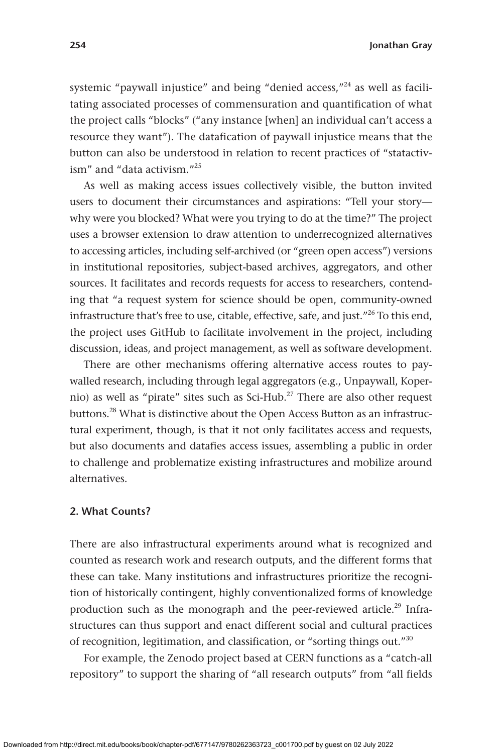systemic "paywall injustice" and being "denied access,"<sup>24</sup> as well as facilitating associated processes of commensuration and quantification of what the project calls "blocks" ("any instance [when] an individual can't access a resource they want"). The datafication of paywall injustice means that the button can also be understood in relation to recent practices of "statactivism" and "data activism."25

As well as making access issues collectively visible, the button invited users to document their circumstances and aspirations: "Tell your story why were you blocked? What were you trying to do at the time?" The project uses a browser extension to draw attention to underrecognized alternatives to accessing articles, including self-archived (or "green open access") versions in institutional repositories, subject-based archives, aggregators, and other sources. It facilitates and records requests for access to researchers, contending that "a request system for science should be open, community-owned infrastructure that's free to use, citable, effective, safe, and just."26 To this end, the project uses GitHub to facilitate involvement in the project, including discussion, ideas, and project management, as well as software development.

There are other mechanisms offering alternative access routes to paywalled research, including through legal aggregators (e.g., Unpaywall, Kopernio) as well as "pirate" sites such as Sci-Hub.<sup>27</sup> There are also other request buttons.28 What is distinctive about the Open Access Button as an infrastructural experiment, though, is that it not only facilitates access and requests, but also documents and datafies access issues, assembling a public in order to challenge and problematize existing infrastructures and mobilize around alternatives.

#### **2. What Counts?**

There are also infrastructural experiments around what is recognized and counted as research work and research outputs, and the different forms that these can take. Many institutions and infrastructures prioritize the recognition of historically contingent, highly conventionalized forms of knowledge production such as the monograph and the peer-reviewed article.<sup>29</sup> Infrastructures can thus support and enact different social and cultural practices of recognition, legitimation, and classification, or "sorting things out."<sup>30</sup>

For example, the Zenodo project based at CERN functions as a "catch-all repository" to support the sharing of "all research outputs" from "all fields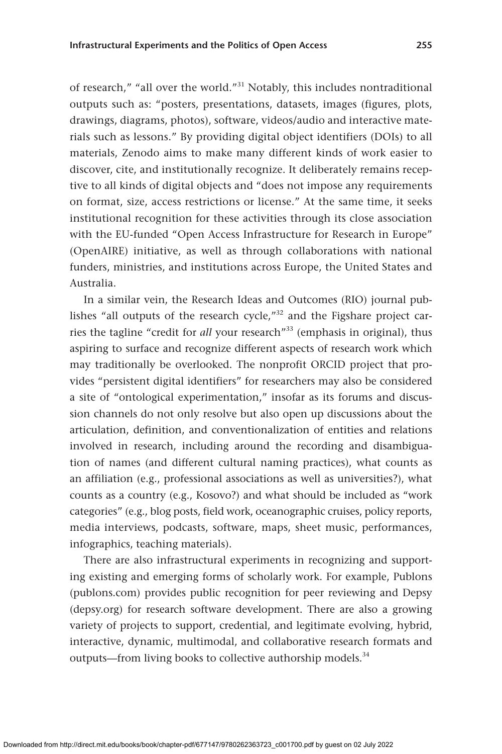of research," "all over the world."31 Notably, this includes nontraditional outputs such as: "posters, presentations, datasets, images (figures, plots, drawings, diagrams, photos), software, videos/audio and interactive materials such as lessons." By providing digital object identifiers (DOIs) to all materials, Zenodo aims to make many different kinds of work easier to discover, cite, and institutionally recognize. It deliberately remains receptive to all kinds of digital objects and "does not impose any requirements on format, size, access restrictions or license." At the same time, it seeks institutional recognition for these activities through its close association with the EU-funded "Open Access Infrastructure for Research in Europe" (OpenAIRE) initiative, as well as through collaborations with national funders, ministries, and institutions across Europe, the United States and Australia.

In a similar vein, the Research Ideas and Outcomes (RIO) journal publishes "all outputs of the research cycle,"32 and the Figshare project carries the tagline "credit for *all* your research"<sup>33</sup> (emphasis in original), thus aspiring to surface and recognize different aspects of research work which may traditionally be overlooked. The nonprofit ORCID project that provides "persistent digital identifiers" for researchers may also be considered a site of "ontological experimentation," insofar as its forums and discussion channels do not only resolve but also open up discussions about the articulation, definition, and conventionalization of entities and relations involved in research, including around the recording and disambiguation of names (and different cultural naming practices), what counts as an affiliation (e.g., professional associations as well as universities?), what counts as a country (e.g., Kosovo?) and what should be included as "work categories" (e.g., blog posts, field work, oceanographic cruises, policy reports, media interviews, podcasts, software, maps, sheet music, performances, infographics, teaching materials).

There are also infrastructural experiments in recognizing and supporting existing and emerging forms of scholarly work. For example, Publons (publons.com) provides public recognition for peer reviewing and Depsy (depsy.org) for research software development. There are also a growing variety of projects to support, credential, and legitimate evolving, hybrid, interactive, dynamic, multimodal, and collaborative research formats and outputs—from living books to collective authorship models.<sup>34</sup>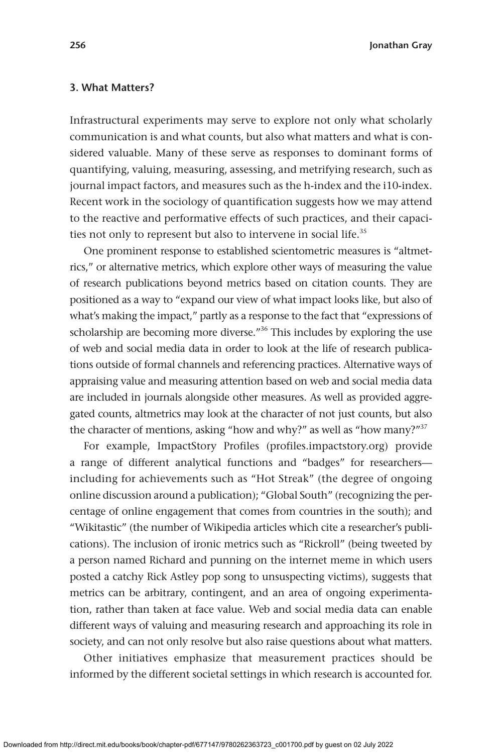**256 Jonathan Gray**

#### **3. What Matters?**

Infrastructural experiments may serve to explore not only what scholarly communication is and what counts, but also what matters and what is considered valuable. Many of these serve as responses to dominant forms of quantifying, valuing, measuring, assessing, and metrifying research, such as journal impact factors, and measures such as the h-index and the i10-index. Recent work in the sociology of quantification suggests how we may attend to the reactive and performative effects of such practices, and their capacities not only to represent but also to intervene in social life.<sup>35</sup>

One prominent response to established scientometric measures is "altmetrics," or alternative metrics, which explore other ways of measuring the value of research publications beyond metrics based on citation counts. They are positioned as a way to "expand our view of what impact looks like, but also of what's making the impact," partly as a response to the fact that "expressions of scholarship are becoming more diverse.<sup>"36</sup> This includes by exploring the use of web and social media data in order to look at the life of research publications outside of formal channels and referencing practices. Alternative ways of appraising value and measuring attention based on web and social media data are included in journals alongside other measures. As well as provided aggregated counts, altmetrics may look at the character of not just counts, but also the character of mentions, asking "how and why?" as well as "how many?"<sup>37</sup>

For example, ImpactStory Profiles (profiles.impactstory.org) provide a range of different analytical functions and "badges" for researchers including for achievements such as "Hot Streak" (the degree of ongoing online discussion around a publication); "Global South" (recognizing the percentage of online engagement that comes from countries in the south); and "Wikitastic" (the number of Wikipedia articles which cite a researcher's publications). The inclusion of ironic metrics such as "Rickroll" (being tweeted by a person named Richard and punning on the internet meme in which users posted a catchy Rick Astley pop song to unsuspecting victims), suggests that metrics can be arbitrary, contingent, and an area of ongoing experimentation, rather than taken at face value. Web and social media data can enable different ways of valuing and measuring research and approaching its role in society, and can not only resolve but also raise questions about what matters.

Other initiatives emphasize that measurement practices should be informed by the different societal settings in which research is accounted for.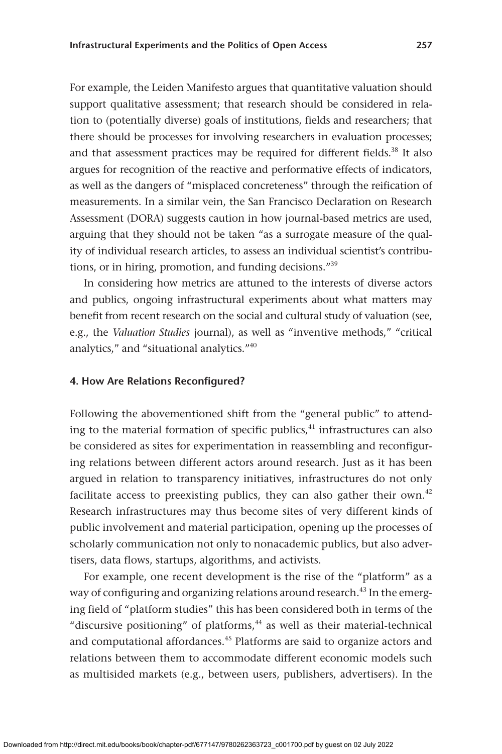For example, the Leiden Manifesto argues that quantitative valuation should support qualitative assessment; that research should be considered in relation to (potentially diverse) goals of institutions, fields and researchers; that there should be processes for involving researchers in evaluation processes; and that assessment practices may be required for different fields.<sup>38</sup> It also argues for recognition of the reactive and performative effects of indicators, as well as the dangers of "misplaced concreteness" through the reification of measurements. In a similar vein, the San Francisco Declaration on Research Assessment (DORA) suggests caution in how journal-based metrics are used, arguing that they should not be taken "as a surrogate measure of the quality of individual research articles, to assess an individual scientist's contributions, or in hiring, promotion, and funding decisions."39

In considering how metrics are attuned to the interests of diverse actors and publics, ongoing infrastructural experiments about what matters may benefit from recent research on the social and cultural study of valuation (see, e.g., the *Valuation Studies* journal), as well as "inventive methods," "critical analytics," and "situational analytics."40

#### **4. How Are Relations Reconfigured?**

Following the abovementioned shift from the "general public" to attending to the material formation of specific publics, $41$  infrastructures can also be considered as sites for experimentation in reassembling and reconfiguring relations between different actors around research. Just as it has been argued in relation to transparency initiatives, infrastructures do not only facilitate access to preexisting publics, they can also gather their own.<sup>42</sup> Research infrastructures may thus become sites of very different kinds of public involvement and material participation, opening up the processes of scholarly communication not only to nonacademic publics, but also advertisers, data flows, startups, algorithms, and activists.

For example, one recent development is the rise of the "platform" as a way of configuring and organizing relations around research.<sup>43</sup> In the emerging field of "platform studies" this has been considered both in terms of the "discursive positioning" of platforms, $44$  as well as their material-technical and computational affordances.<sup>45</sup> Platforms are said to organize actors and relations between them to accommodate different economic models such as multisided markets (e.g., between users, publishers, advertisers). In the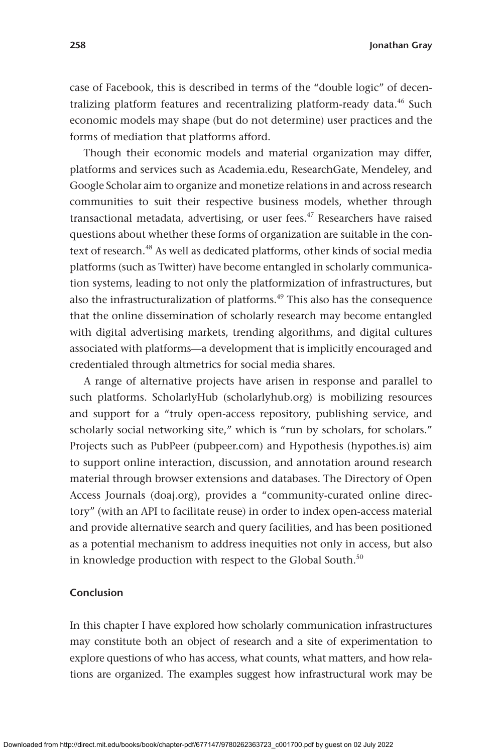case of Facebook, this is described in terms of the "double logic" of decentralizing platform features and recentralizing platform-ready data.<sup>46</sup> Such economic models may shape (but do not determine) user practices and the forms of mediation that platforms afford.

Though their economic models and material organization may differ, platforms and services such as Academia.edu, ResearchGate, Mendeley, and Google Scholar aim to organize and monetize relations in and across research communities to suit their respective business models, whether through transactional metadata, advertising, or user fees. $47$  Researchers have raised questions about whether these forms of organization are suitable in the context of research.<sup>48</sup> As well as dedicated platforms, other kinds of social media platforms (such as Twitter) have become entangled in scholarly communication systems, leading to not only the platformization of infrastructures, but also the infrastructuralization of platforms. $49$  This also has the consequence that the online dissemination of scholarly research may become entangled with digital advertising markets, trending algorithms, and digital cultures associated with platforms—a development that is implicitly encouraged and credentialed through altmetrics for social media shares.

A range of alternative projects have arisen in response and parallel to such platforms. ScholarlyHub (scholarlyhub.org) is mobilizing resources and support for a "truly open-access repository, publishing service, and scholarly social networking site," which is "run by scholars, for scholars." Projects such as PubPeer (pubpeer.com) and Hypothesis (hypothes.is) aim to support online interaction, discussion, and annotation around research material through browser extensions and databases. The Directory of Open Access Journals (doaj.org), provides a "community-curated online directory" (with an API to facilitate reuse) in order to index open-access material and provide alternative search and query facilities, and has been positioned as a potential mechanism to address inequities not only in access, but also in knowledge production with respect to the Global South.<sup>50</sup>

#### **Conclusion**

In this chapter I have explored how scholarly communication infrastructures may constitute both an object of research and a site of experimentation to explore questions of who has access, what counts, what matters, and how relations are organized. The examples suggest how infrastructural work may be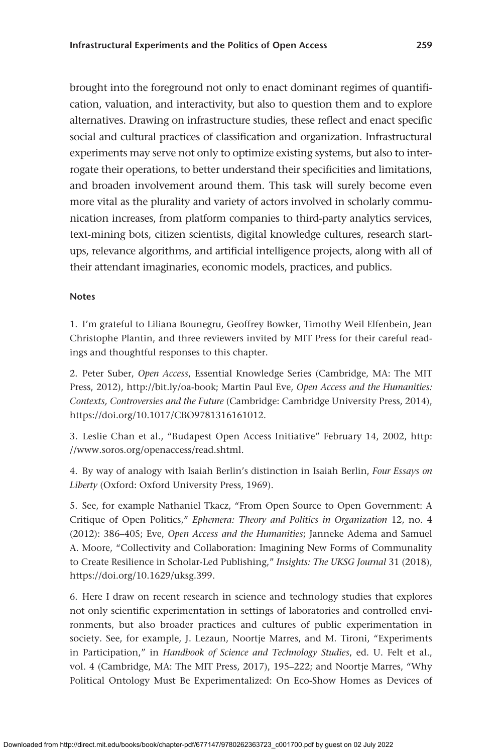brought into the foreground not only to enact dominant regimes of quantification, valuation, and interactivity, but also to question them and to explore alternatives. Drawing on infrastructure studies, these reflect and enact specific social and cultural practices of classification and organization. Infrastructural experiments may serve not only to optimize existing systems, but also to interrogate their operations, to better understand their specificities and limitations, and broaden involvement around them. This task will surely become even more vital as the plurality and variety of actors involved in scholarly communication increases, from platform companies to third-party analytics services, text-mining bots, citizen scientists, digital knowledge cultures, research startups, relevance algorithms, and artificial intelligence projects, along with all of their attendant imaginaries, economic models, practices, and publics.

#### **Notes**

1. I'm grateful to Liliana Bounegru, Geoffrey Bowker, Timothy Weil Elfenbein, Jean Christophe Plantin, and three reviewers invited by MIT Press for their careful readings and thoughtful responses to this chapter.

2. Peter Suber, *Open Access*, Essential Knowledge Series (Cambridge, MA: The MIT Press, 2012), [http://bit.ly/oa-book;](http://bit.ly/oa-book) Martin Paul Eve, *Open Access and the Humanities: Contexts, Controversies and the Future* (Cambridge: Cambridge University Press, 2014), [https://doi.org/10.1017/CBO9781316161012.](https://doi.org/10.1017/CBO9781316161012)

3. Leslie Chan et al., "Budapest Open Access Initiative" February 14, 2002, [http:](http://www.soros.org/openaccess/read.shtml) [//www.soros.org/openaccess/read.shtml.](http://www.soros.org/openaccess/read.shtml)

4. By way of analogy with Isaiah Berlin's distinction in Isaiah Berlin, *Four Essays on Liberty* (Oxford: Oxford University Press, 1969).

5. See, for example Nathaniel Tkacz, "From Open Source to Open Government: A Critique of Open Politics," *Ephemera: Theory and Politics in Organization* 12, no. 4 (2012): 386–405; Eve, *Open Access and the Humanities*; Janneke Adema and Samuel A. Moore, "Collectivity and Collaboration: Imagining New Forms of Communality to Create Resilience in Scholar-Led Publishing," *Insights: The UKSG Journal* 31 (2018), [https://doi.org/10.1629/uksg.399.](https://doi.org/10.1629/uksg.399)

6. Here I draw on recent research in science and technology studies that explores not only scientific experimentation in settings of laboratories and controlled environments, but also broader practices and cultures of public experimentation in society. See, for example, J. Lezaun, Noortje Marres, and M. Tironi, "Experiments in Participation," in *Handbook of Science and Technology Studies*, ed. U. Felt et al., vol. 4 (Cambridge, MA: The MIT Press, 2017), 195–222; and Noortje Marres, "Why Political Ontology Must Be Experimentalized: On Eco-Show Homes as Devices of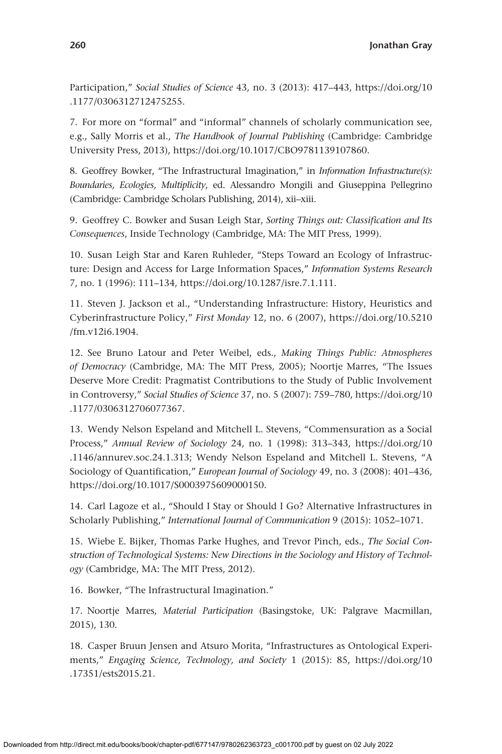Participation," *Social Studies of Science* 43, no. 3 (2013): 417–443, [https://doi.org/10](https://doi.org/10.1177/0306312712475255) [.1177/0306312712475255.](https://doi.org/10.1177/0306312712475255)

7. For more on "formal" and "informal" channels of scholarly communication see, e.g., Sally Morris et al., *The Handbook of Journal Publishing* (Cambridge: Cambridge University Press, 2013), [https://doi.org/10.1017/CBO9781139107860.](https://doi.org/10.1017/CBO9781139107860)

8. Geoffrey Bowker, "The Infrastructural Imagination," in *Information Infrastructure(s): Boundaries, Ecologies, Multiplicity*, ed. Alessandro Mongili and Giuseppina Pellegrino (Cambridge: Cambridge Scholars Publishing, 2014), xii–xiii.

9. Geoffrey C. Bowker and Susan Leigh Star, *Sorting Things out: Classification and Its Consequences*, Inside Technology (Cambridge, MA: The MIT Press, 1999).

10. Susan Leigh Star and Karen Ruhleder, "Steps Toward an Ecology of Infrastructure: Design and Access for Large Information Spaces," *Information Systems Research* 7, no. 1 (1996): 111–134, <https://doi.org/10.1287/isre.7.1.111>.

11. Steven J. Jackson et al., "Understanding Infrastructure: History, Heuristics and Cyberinfrastructure Policy," *First Monday* 12, no. 6 (2007), [https://doi.org/10.5210](https://doi.org/10.5210/fm.v12i6.1904) [/fm.v12i6.1904.](https://doi.org/10.5210/fm.v12i6.1904)

12. See Bruno Latour and Peter Weibel, eds., *Making Things Public: Atmospheres of Democracy* (Cambridge, MA: The MIT Press, 2005); Noortje Marres, "The Issues Deserve More Credit: Pragmatist Contributions to the Study of Public Involvement in Controversy," *Social Studies of Science* 37, no. 5 (2007): 759–780, [https://doi.org/10](https://doi.org/10.1177/0306312706077367) [.1177/0306312706077367.](https://doi.org/10.1177/0306312706077367)

13. Wendy Nelson Espeland and Mitchell L. Stevens, "Commensuration as a Social Process," *Annual Review of Sociology* 24, no. 1 (1998): 313–343, [https://doi.org/10](https://doi.org/10.1146/annurev.soc.24.1.313) [.1146/annurev.soc.24.1.313;](https://doi.org/10.1146/annurev.soc.24.1.313) Wendy Nelson Espeland and Mitchell L. Stevens, "A Sociology of Quantification," *European Journal of Sociology* 49, no. 3 (2008): 401–436, <https://doi.org/10.1017/S0003975609000150>.

14. Carl Lagoze et al., "Should I Stay or Should I Go? Alternative Infrastructures in Scholarly Publishing," *International Journal of Communication* 9 (2015): 1052–1071.

15. Wiebe E. Bijker, Thomas Parke Hughes, and Trevor Pinch, eds., *The Social Construction of Technological Systems: New Directions in the Sociology and History of Technology* (Cambridge, MA: The MIT Press, 2012).

16. Bowker, "The Infrastructural Imagination."

17. Noortje Marres, *Material Participation* (Basingstoke, UK: Palgrave Macmillan, 2015), 130.

18. Casper Bruun Jensen and Atsuro Morita, "Infrastructures as Ontological Experiments," *Engaging Science, Technology, and Society* 1 (2015): 85, [https://doi.org/10](https://doi.org/10.17351/ests2015.21) [.17351/ests2015.21](https://doi.org/10.17351/ests2015.21).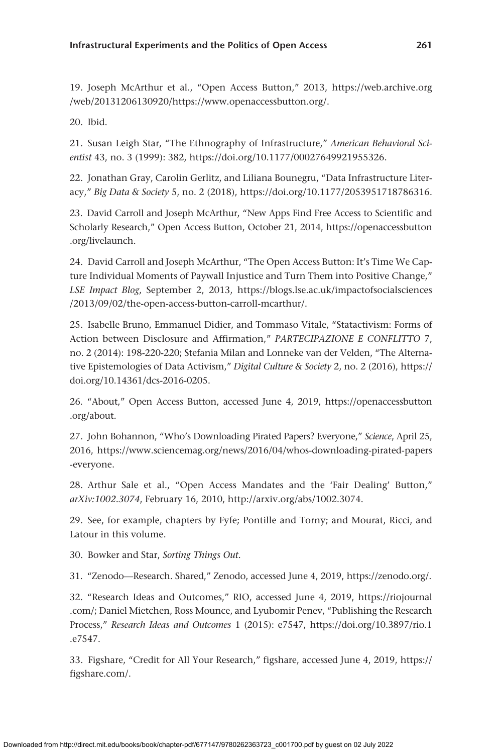19. Joseph McArthur et al., "Open Access Button," 2013, [https://web.archive.org](https://web.archive.org/web/20131206130920/https://www.openaccessbutton.org/) [/web/20131206130920/https://www.openaccessbutton.org/](https://web.archive.org/web/20131206130920/https://www.openaccessbutton.org/).

20. Ibid.

21. Susan Leigh Star, "The Ethnography of Infrastructure," *American Behavioral Scientist* 43, no. 3 (1999): 382, [https://doi.org/10.1177/00027649921955326.](https://doi.org/10.1177/00027649921955326)

22. Jonathan Gray, Carolin Gerlitz, and Liliana Bounegru, "Data Infrastructure Literacy," *Big Data & Society* 5, no. 2 (2018), [https://doi.org/10.1177/2053951718786316.](https://doi.org/10.1177/2053951718786316)

23. David Carroll and Joseph McArthur, "New Apps Find Free Access to Scientific and Scholarly Research," Open Access Button, October 21, 2014, [https://openaccessbutton](https://openaccessbutton.org/livelaunch) [.org/livelaunch.](https://openaccessbutton.org/livelaunch)

24. David Carroll and Joseph McArthur, "The Open Access Button: It's Time We Capture Individual Moments of Paywall Injustice and Turn Them into Positive Change," *LSE Impact Blog*, September 2, 2013, [https://blogs.lse.ac.uk/impactofsocialsciences](https://blogs.lse.ac.uk/impactofsocialsciences/2013/09/02/the-open-access-button-carroll-mcarthur/) [/2013/09/02/the-open-access-button-carroll-mcarthur/](https://blogs.lse.ac.uk/impactofsocialsciences/2013/09/02/the-open-access-button-carroll-mcarthur/).

25. Isabelle Bruno, Emmanuel Didier, and Tommaso Vitale, "Statactivism: Forms of Action between Disclosure and Affirmation," *PARTECIPAZIONE E CONFLITTO* 7, no. 2 (2014): 198-220-220; Stefania Milan and Lonneke van der Velden, "The Alternative Epistemologies of Data Activism," *Digital Culture & Society* 2, no. 2 (2016), [https://](https://doi.org/10.14361/dcs-2016-0205) [doi.org/10.14361/dcs-2016-0205.](https://doi.org/10.14361/dcs-2016-0205)

26. "About," Open Access Button, accessed June 4, 2019, [https://openaccessbutton](https://openaccessbutton.org/about) [.org/about.](https://openaccessbutton.org/about)

27. John Bohannon, "Who's Downloading Pirated Papers? Everyone," *Science*, April 25, 2016, [https://www.sciencemag.org/news/2016/04/whos-downloading-pirated-papers](https://www.sciencemag.org/news/2016/04/whos-downloading-pirated-papers-everyone) [-everyone](https://www.sciencemag.org/news/2016/04/whos-downloading-pirated-papers-everyone).

28. Arthur Sale et al., "Open Access Mandates and the 'Fair Dealing' Button," *arXiv:1002.3074*, February 16, 2010,<http://arxiv.org/abs/1002.3074>.

29. See, for example, chapters by Fyfe; Pontille and Torny; and Mourat, Ricci, and Latour in this volume.

30. Bowker and Star, *Sorting Things Out*.

31. "Zenodo—Research. Shared," Zenodo, accessed June 4, 2019,<https://zenodo.org/>.

32. "Research Ideas and Outcomes," RIO, accessed June 4, 2019, [https://riojournal](https://riojournal.com/) [.com/](https://riojournal.com/); Daniel Mietchen, Ross Mounce, and Lyubomir Penev, "Publishing the Research Process," *Research Ideas and Outcomes* 1 (2015): e7547, [https://doi.org/10.3897/rio.1](https://doi.org/10.3897/rio.1.e7547) [.e7547](https://doi.org/10.3897/rio.1.e7547).

33. Figshare, "Credit for All Your Research," figshare, accessed June 4, 2019, [https://](https://figshare.com/) [figshare.com/.](https://figshare.com/)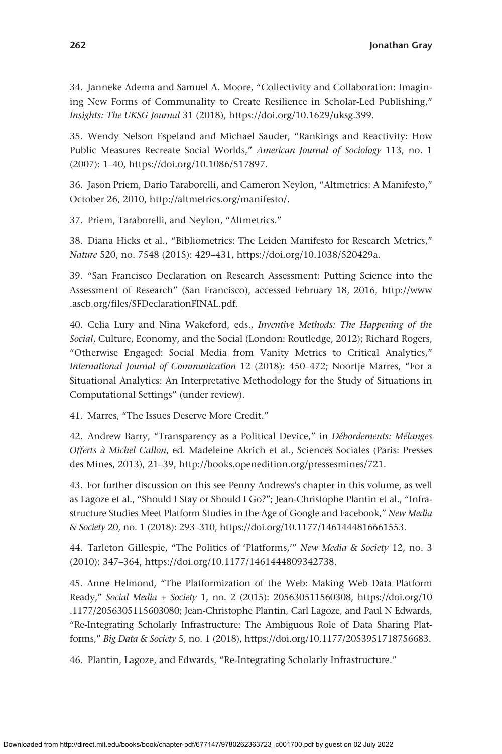34. Janneke Adema and Samuel A. Moore, "Collectivity and Collaboration: Imagining New Forms of Communality to Create Resilience in Scholar-Led Publishing," *Insights: The UKSG Journal* 31 (2018), [https://doi.org/10.1629/uksg.399.](https://doi.org/10.1629/uksg.399)

35. Wendy Nelson Espeland and Michael Sauder, "Rankings and Reactivity: How Public Measures Recreate Social Worlds," *American Journal of Sociology* 113, no. 1 (2007): 1–40, <https://doi.org/10.1086/517897>.

36. Jason Priem, Dario Taraborelli, and Cameron Neylon, "Altmetrics: A Manifesto," October 26, 2010, <http://altmetrics.org/manifesto/>.

37. Priem, Taraborelli, and Neylon, "Altmetrics."

38. Diana Hicks et al., "Bibliometrics: The Leiden Manifesto for Research Metrics," *Nature* 520, no. 7548 (2015): 429–431, <https://doi.org/10.1038/520429a>.

39. "San Francisco Declaration on Research Assessment: Putting Science into the Assessment of Research" (San Francisco), accessed February 18, 2016, [http://www](http://www.ascb.org/files/SFDeclarationFINAL.pdf) [.ascb.org/files/SFDeclarationFINAL.pdf.](http://www.ascb.org/files/SFDeclarationFINAL.pdf)

40. Celia Lury and Nina Wakeford, eds., *Inventive Methods: The Happening of the Social*, Culture, Economy, and the Social (London: Routledge, 2012); Richard Rogers, "Otherwise Engaged: Social Media from Vanity Metrics to Critical Analytics," *International Journal of Communication* 12 (2018): 450–472; Noortje Marres, "For a Situational Analytics: An Interpretative Methodology for the Study of Situations in Computational Settings" (under review).

41. Marres, "The Issues Deserve More Credit."

42. Andrew Barry, "Transparency as a Political Device," in *Débordements: Mélanges Offerts à Michel Callon*, ed. Madeleine Akrich et al., Sciences Sociales (Paris: Presses des Mines, 2013), 21–39, [http://books.openedition.org/pressesmines/721.](http://books.openedition.org/pressesmines/721)

43. For further discussion on this see Penny Andrews's chapter in this volume, as well as Lagoze et al., "Should I Stay or Should I Go?"; Jean-Christophe Plantin et al., "Infrastructure Studies Meet Platform Studies in the Age of Google and Facebook," *New Media & Society* 20, no. 1 (2018): 293–310,<https://doi.org/10.1177/1461444816661553>.

44. Tarleton Gillespie, "The Politics of 'Platforms,'" *New Media & Society* 12, no. 3 (2010): 347–364, [https://doi.org/10.1177/1461444809342738.](https://doi.org/10.1177/1461444809342738)

45. Anne Helmond, "The Platformization of the Web: Making Web Data Platform Ready," *Social Media + Society* 1, no. 2 (2015): 205630511560308, [https://doi.org/10](https://doi.org/10.1177/2056305115603080) [.1177/2056305115603080](https://doi.org/10.1177/2056305115603080); Jean-Christophe Plantin, Carl Lagoze, and Paul N Edwards, "Re-Integrating Scholarly Infrastructure: The Ambiguous Role of Data Sharing Platforms," *Big Data & Society* 5, no. 1 (2018), [https://doi.org/10.1177/2053951718756683.](https://doi.org/10.1177/2053951718756683)

46. Plantin, Lagoze, and Edwards, "Re-Integrating Scholarly Infrastructure."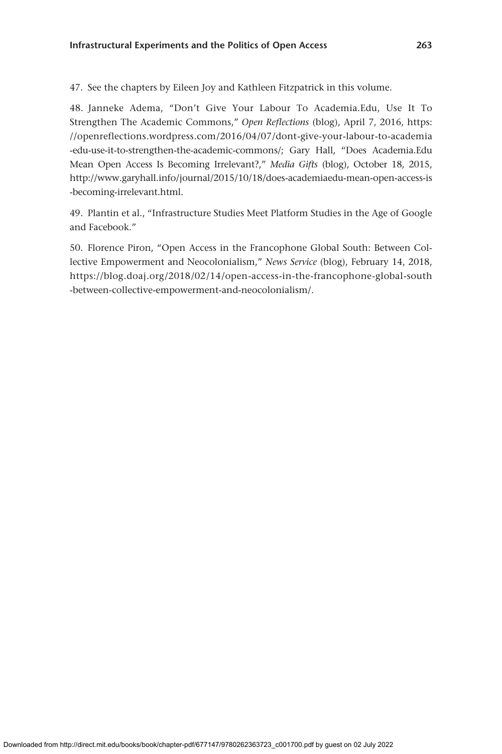47. See the chapters by Eileen Joy and Kathleen Fitzpatrick in this volume.

48. Janneke Adema, "Don't Give Your Labour To Academia.Edu, Use It To Strengthen The Academic Commons," *Open Reflections* (blog), April 7, 2016, [https:](https://openreflections.wordpress.com/2016/04/07/dont-give-your-labour-to-academia-edu-use-it-to-strengthen-the-academic-commons/) [//openreflections.wordpress.com/2016/04/07/dont-give-your-labour-to-academia](https://openreflections.wordpress.com/2016/04/07/dont-give-your-labour-to-academia-edu-use-it-to-strengthen-the-academic-commons/) [-edu-use-it-to-strengthen-the-academic-commons/;](https://openreflections.wordpress.com/2016/04/07/dont-give-your-labour-to-academia-edu-use-it-to-strengthen-the-academic-commons/) Gary Hall, "Does Academia.Edu Mean Open Access Is Becoming Irrelevant?," *Media Gifts* (blog), October 18, 2015, [http://www.garyhall.info/journal/2015/10/18/does-academiaedu-mean-open-access-is](http://www.garyhall.info/journal/2015/10/18/does-academiaedu-mean-open-access-is-becoming-irrelevant.html) [-becoming-irrelevant.html.](http://www.garyhall.info/journal/2015/10/18/does-academiaedu-mean-open-access-is-becoming-irrelevant.html)

49. Plantin et al., "Infrastructure Studies Meet Platform Studies in the Age of Google and Facebook."

50. Florence Piron, "Open Access in the Francophone Global South: Between Collective Empowerment and Neocolonialism," *News Service* (blog), February 14, 2018, [https://blog.doaj.org/2018/02/14/open-access-in-the-francophone-global-south](https://blog.doaj.org/2018/02/14/open-access-in-the-francophone-global-south-between-collective-empowerment-and-neocolonialism/) [-between-collective-empowerment-and-neocolonialism/.](https://blog.doaj.org/2018/02/14/open-access-in-the-francophone-global-south-between-collective-empowerment-and-neocolonialism/)